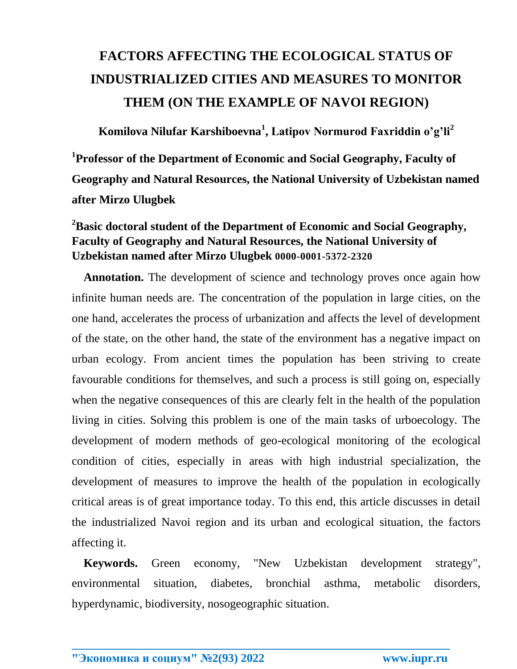## **FACTORS AFFECTING THE ECOLOGICAL STATUS OF INDUSTRIALIZED CITIES AND MEASURES TO MONITOR THEM (ON THE EXAMPLE OF NAVOI REGION)**

**Komilova Nilufar Karshiboevna<sup>1</sup> , Latipov Normurod Faxriddin o'g'li<sup>2</sup> 1 Professor of the Department of Economic and Social Geography, Faculty of Geography and Natural Resources, the National University of Uzbekistan named after Mirzo Ulugbek**

## **<sup>2</sup>Basic doctoral student of the Department of Economic and Social Geography, Faculty of Geography and Natural Resources, the National University of Uzbekistan named after Mirzo Ulugbek 0000-0001-5372-2320**

**Annotation.** The development of science and technology proves once again how infinite human needs are. The concentration of the population in large cities, on the one hand, accelerates the process of urbanization and affects the level of development of the state, on the other hand, the state of the environment has a negative impact on urban ecology. From ancient times the population has been striving to create favourable conditions for themselves, and such a process is still going on, especially when the negative consequences of this are clearly felt in the health of the population living in cities. Solving this problem is one of the main tasks of urboecology. The development of modern methods of geo-ecological monitoring of the ecological condition of cities, especially in areas with high industrial specialization, the development of measures to improve the health of the population in ecologically critical areas is of great importance today. To this end, this article discusses in detail the industrialized Navoi region and its urban and ecological situation, the factors affecting it.

 **Keywords.** Green economy, "New Uzbekistan development strategy", environmental situation, diabetes, bronchial asthma, metabolic disorders, hyperdynamic, biodiversity, nosogeographic situation.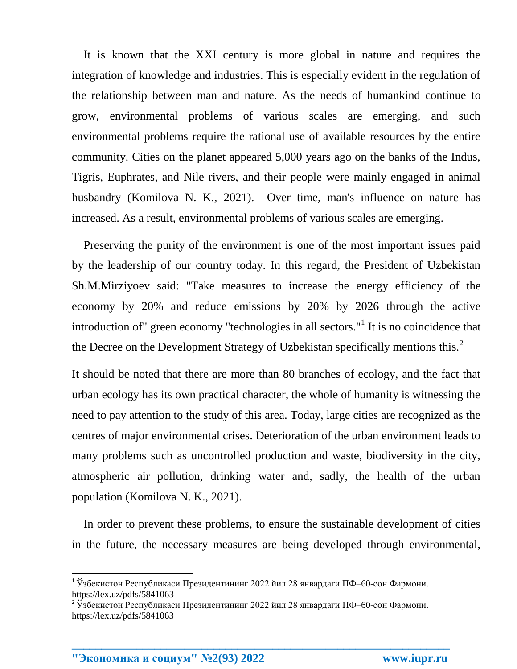It is known that the XXI century is more global in nature and requires the integration of knowledge and industries. This is especially evident in the regulation of the relationship between man and nature. As the needs of humankind continue to grow, environmental problems of various scales are emerging, and such environmental problems require the rational use of available resources by the entire community. Cities on the planet appeared 5,000 years ago on the banks of the Indus, Tigris, Euphrates, and Nile rivers, and their people were mainly engaged in animal husbandry (Komilova N. K., 2021). Over time, man's influence on nature has increased. As a result, environmental problems of various scales are emerging.

 Preserving the purity of the environment is one of the most important issues paid by the leadership of our country today. In this regard, the President of Uzbekistan Sh.M.Mirziyoev said: "Take measures to increase the energy efficiency of the economy by 20% and reduce emissions by 20% by 2026 through the active introduction of" green economy "technologies in all sectors."<sup>1</sup> It is no coincidence that the Decree on the Development Strategy of Uzbekistan specifically mentions this.<sup>2</sup>

It should be noted that there are more than 80 branches of ecology, and the fact that urban ecology has its own practical character, the whole of humanity is witnessing the need to pay attention to the study of this area. Today, large cities are recognized as the centres of major environmental crises. Deterioration of the urban environment leads to many problems such as uncontrolled production and waste, biodiversity in the city, atmospheric air pollution, drinking water and, sadly, the health of the urban population (Komilova N. K., 2021).

 In order to prevent these problems, to ensure the sustainable development of cities in the future, the necessary measures are being developed through environmental,

**\_\_\_\_\_\_\_\_\_\_\_\_\_\_\_\_\_\_\_\_\_\_\_\_\_\_\_\_\_\_\_\_\_\_\_\_\_\_\_\_\_\_\_\_\_\_\_\_\_\_\_\_\_\_\_\_\_\_\_\_\_\_\_\_**

 $\overline{a}$ 

<sup>1</sup> Ўзбекистон Республикаси Президентининг 2022 йил 28 январдаги ПФ–60-сон Фармони. https://lex.uz/pdfs/5841063

<sup>&</sup>lt;sup>2</sup> Ўзбекистон Республикаси Президентининг 2022 йил 28 январдаги ПФ–60-сон Фармони. https://lex.uz/pdfs/5841063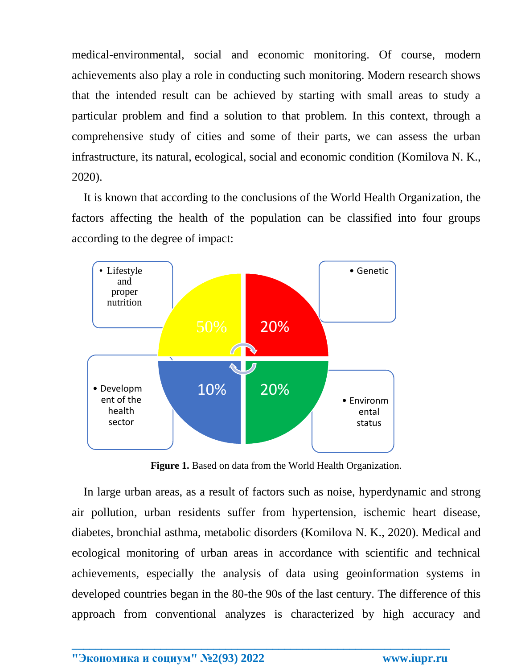medical-environmental, social and economic monitoring. Of course, modern achievements also play a role in conducting such monitoring. Modern research shows that the intended result can be achieved by starting with small areas to study a particular problem and find a solution to that problem. In this context, through a comprehensive study of cities and some of their parts, we can assess the urban infrastructure, its natural, ecological, social and economic condition (Komilova N. K., 2020).

 It is known that according to the conclusions of the World Health Organization, the factors affecting the health of the population can be classified into four groups according to the degree of impact:



**Figure 1.** Based on data from the World Health Organization.

 In large urban areas, as a result of factors such as noise, hyperdynamic and strong air pollution, urban residents suffer from hypertension, ischemic heart disease, diabetes, bronchial asthma, metabolic disorders (Komilova N. K., 2020). Medical and ecological monitoring of urban areas in accordance with scientific and technical achievements, especially the analysis of data using geoinformation systems in developed countries began in the 80-the 90s of the last century. The difference of this approach from conventional analyzes is characterized by high accuracy and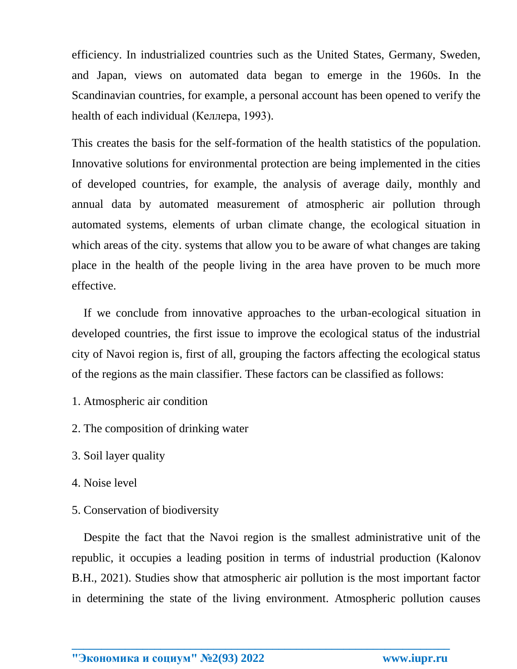efficiency. In industrialized countries such as the United States, Germany, Sweden, and Japan, views on automated data began to emerge in the 1960s. In the Scandinavian countries, for example, a personal account has been opened to verify the health of each individual (Келлера, 1993).

This creates the basis for the self-formation of the health statistics of the population. Innovative solutions for environmental protection are being implemented in the cities of developed countries, for example, the analysis of average daily, monthly and annual data by automated measurement of atmospheric air pollution through automated systems, elements of urban climate change, the ecological situation in which areas of the city. systems that allow you to be aware of what changes are taking place in the health of the people living in the area have proven to be much more effective.

 If we conclude from innovative approaches to the urban-ecological situation in developed countries, the first issue to improve the ecological status of the industrial city of Navoi region is, first of all, grouping the factors affecting the ecological status of the regions as the main classifier. These factors can be classified as follows:

- 1. Atmospheric air condition
- 2. The composition of drinking water
- 3. Soil layer quality
- 4. Noise level
- 5. Conservation of biodiversity

 Despite the fact that the Navoi region is the smallest administrative unit of the republic, it occupies a leading position in terms of industrial production (Kalonov B.H., 2021). Studies show that atmospheric air pollution is the most important factor in determining the state of the living environment. Atmospheric pollution causes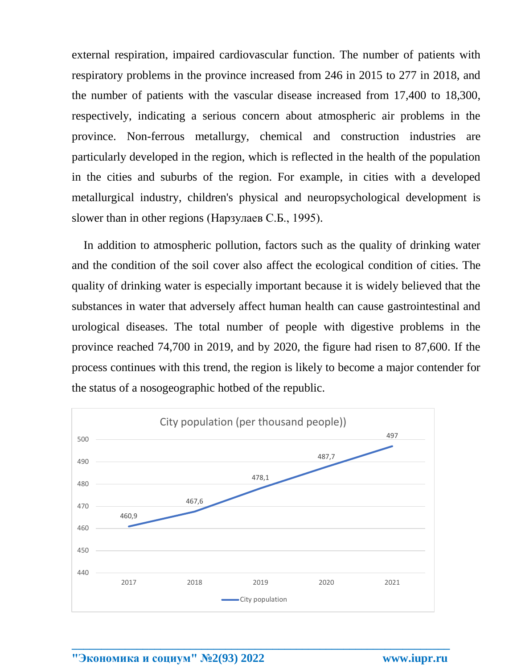external respiration, impaired cardiovascular function. The number of patients with respiratory problems in the province increased from 246 in 2015 to 277 in 2018, and the number of patients with the vascular disease increased from 17,400 to 18,300, respectively, indicating a serious concern about atmospheric air problems in the province. Non-ferrous metallurgy, chemical and construction industries are particularly developed in the region, which is reflected in the health of the population in the cities and suburbs of the region. For example, in cities with a developed metallurgical industry, children's physical and neuropsychological development is slower than in other regions (Нарзулаев С.Б., 1995).

 In addition to atmospheric pollution, factors such as the quality of drinking water and the condition of the soil cover also affect the ecological condition of cities. The quality of drinking water is especially important because it is widely believed that the substances in water that adversely affect human health can cause gastrointestinal and urological diseases. The total number of people with digestive problems in the province reached 74,700 in 2019, and by 2020, the figure had risen to 87,600. If the process continues with this trend, the region is likely to become a major contender for the status of a nosogeographic hotbed of the republic.

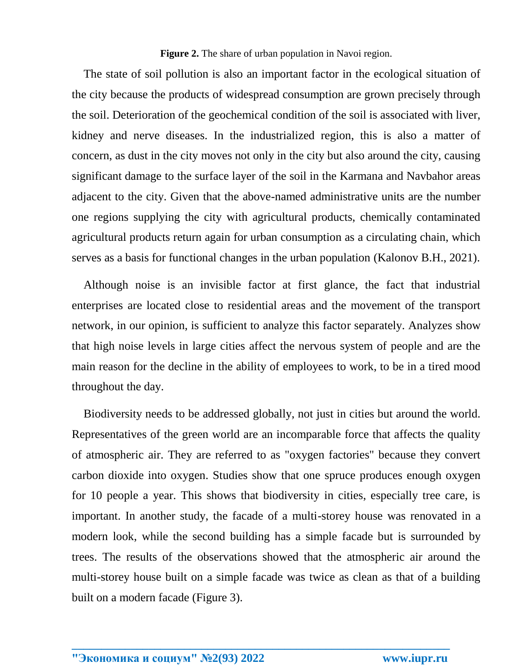**Figure 2.** The share of urban population in Navoi region.

 The state of soil pollution is also an important factor in the ecological situation of the city because the products of widespread consumption are grown precisely through the soil. Deterioration of the geochemical condition of the soil is associated with liver, kidney and nerve diseases. In the industrialized region, this is also a matter of concern, as dust in the city moves not only in the city but also around the city, causing significant damage to the surface layer of the soil in the Karmana and Navbahor areas adjacent to the city. Given that the above-named administrative units are the number one regions supplying the city with agricultural products, chemically contaminated agricultural products return again for urban consumption as a circulating chain, which serves as a basis for functional changes in the urban population (Kalonov B.H., 2021).

 Although noise is an invisible factor at first glance, the fact that industrial enterprises are located close to residential areas and the movement of the transport network, in our opinion, is sufficient to analyze this factor separately. Analyzes show that high noise levels in large cities affect the nervous system of people and are the main reason for the decline in the ability of employees to work, to be in a tired mood throughout the day.

 Biodiversity needs to be addressed globally, not just in cities but around the world. Representatives of the green world are an incomparable force that affects the quality of atmospheric air. They are referred to as "oxygen factories" because they convert carbon dioxide into oxygen. Studies show that one spruce produces enough oxygen for 10 people a year. This shows that biodiversity in cities, especially tree care, is important. In another study, the facade of a multi-storey house was renovated in a modern look, while the second building has a simple facade but is surrounded by trees. The results of the observations showed that the atmospheric air around the multi-storey house built on a simple facade was twice as clean as that of a building built on a modern facade (Figure 3).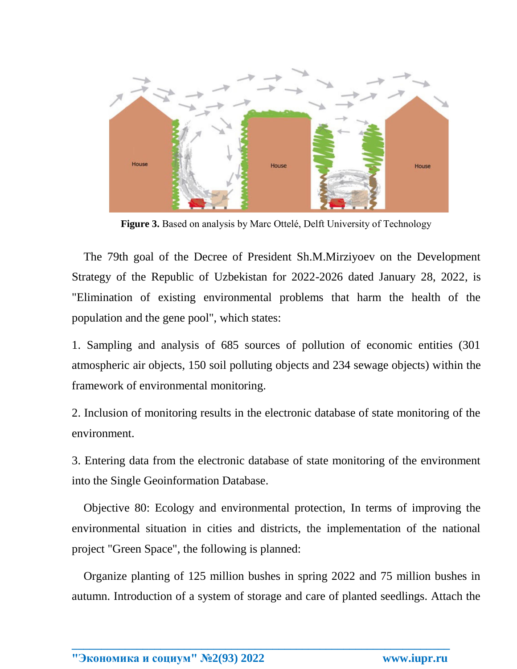

**Figure 3.** Based on analysis by Marc Ottelé, Delft University of Technology

 The 79th goal of the Decree of President Sh.M.Mirziyoev on the Development Strategy of the Republic of Uzbekistan for 2022-2026 dated January 28, 2022, is "Elimination of existing environmental problems that harm the health of the population and the gene pool", which states:

1. Sampling and analysis of 685 sources of pollution of economic entities (301 atmospheric air objects, 150 soil polluting objects and 234 sewage objects) within the framework of environmental monitoring.

2. Inclusion of monitoring results in the electronic database of state monitoring of the environment.

3. Entering data from the electronic database of state monitoring of the environment into the Single Geoinformation Database.

 Objective 80: Ecology and environmental protection, In terms of improving the environmental situation in cities and districts, the implementation of the national project "Green Space", the following is planned:

 Organize planting of 125 million bushes in spring 2022 and 75 million bushes in autumn. Introduction of a system of storage and care of planted seedlings. Attach the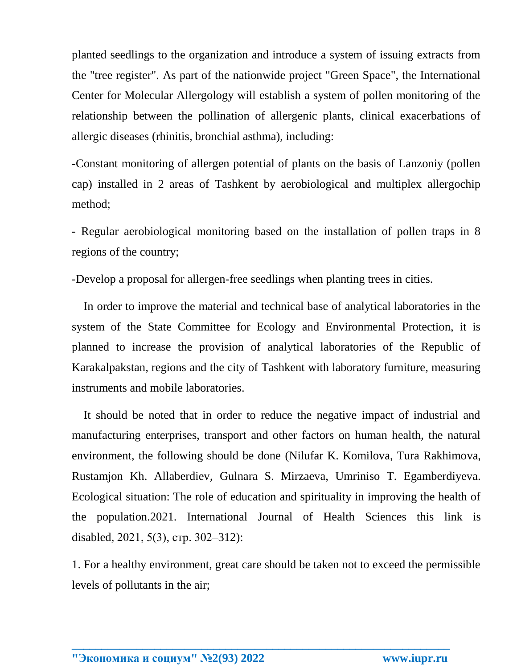planted seedlings to the organization and introduce a system of issuing extracts from the "tree register". As part of the nationwide project "Green Space", the International Center for Molecular Allergology will establish a system of pollen monitoring of the relationship between the pollination of allergenic plants, clinical exacerbations of allergic diseases (rhinitis, bronchial asthma), including:

-Constant monitoring of allergen potential of plants on the basis of Lanzoniy (pollen cap) installed in 2 areas of Tashkent by aerobiological and multiplex allergochip method;

- Regular aerobiological monitoring based on the installation of pollen traps in 8 regions of the country;

-Develop a proposal for allergen-free seedlings when planting trees in cities.

 In order to improve the material and technical base of analytical laboratories in the system of the State Committee for Ecology and Environmental Protection, it is planned to increase the provision of analytical laboratories of the Republic of Karakalpakstan, regions and the city of Tashkent with laboratory furniture, measuring instruments and mobile laboratories.

 It should be noted that in order to reduce the negative impact of industrial and manufacturing enterprises, transport and other factors on human health, the natural environment, the following should be done (Nilufar K. Komilova, Tura Rakhimova, Rustamjon Kh. Allaberdiev, Gulnara S. Mirzaeva, Umriniso T. Egamberdiyeva. Ecological situation: The role of education and spirituality in improving the health of the population.2021. [International](https://www.scopus.com/authid/detail.uri?authorId=57210788923#disabled) Journal of Health Sciences this link is [disabled,](https://www.scopus.com/authid/detail.uri?authorId=57210788923#disabled) 2021, 5(3), стр. 302–312):

1. For a healthy environment, great care should be taken not to exceed the permissible levels of pollutants in the air;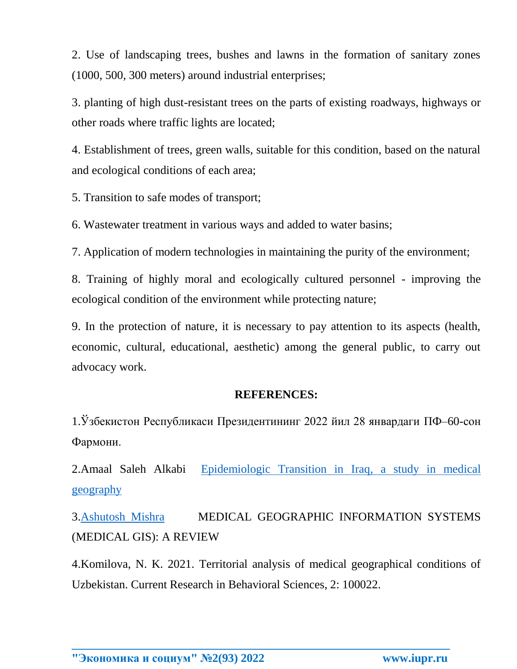2. Use of landscaping trees, bushes and lawns in the formation of sanitary zones (1000, 500, 300 meters) around industrial enterprises;

3. planting of high dust-resistant trees on the parts of existing roadways, highways or other roads where traffic lights are located;

4. Establishment of trees, green walls, suitable for this condition, based on the natural and ecological conditions of each area;

5. Transition to safe modes of transport;

6. Wastewater treatment in various ways and added to water basins;

7. Application of modern technologies in maintaining the purity of the environment;

8. Training of highly moral and ecologically cultured personnel - improving the ecological condition of the environment while protecting nature;

9. In the protection of nature, it is necessary to pay attention to its aspects (health, economic, cultural, educational, aesthetic) among the general public, to carry out advocacy work.

## **REFERENCES:**

1.Ўзбекистон Республикаси Президентининг 2022 йил 28 январдаги ПФ–60-сон Фармони.

2.Amaal Saleh [Alkabi](https://www.researchgate.net/profile/Amaal-Alkabi) [Epidemiologic](https://www.researchgate.net/publication/355107327_Epidemiologic_Transition_in_Iraq_a_study_in_medical_geography) Transition in Iraq, a study in medical [geography](https://www.researchgate.net/publication/355107327_Epidemiologic_Transition_in_Iraq_a_study_in_medical_geography)

3[.Ashutosh](https://www.researchgate.net/scientific-contributions/Ashutosh-Mishra-2205776994) Mishra MEDICAL GEOGRAPHIC INFORMATION SYSTEMS (MEDICAL GIS): A REVIEW

4.Komilova, N. K. 2021. Territorial analysis of medical geographical conditions of Uzbekistan. Current Research in Behavioral Sciences, 2: 100022.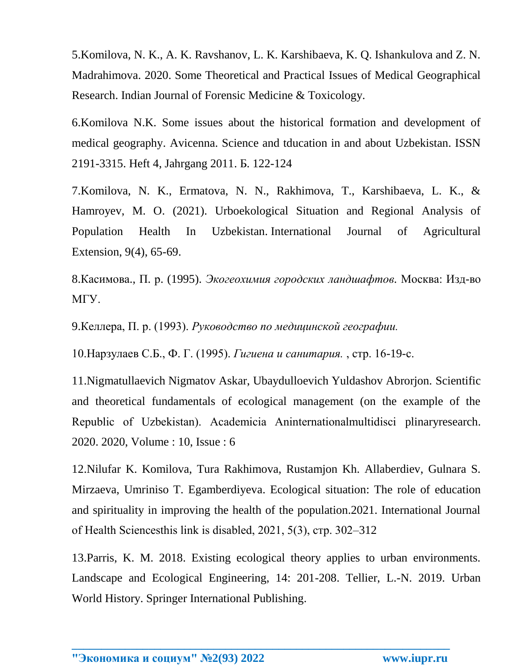5.Komilova, N. K., A. K. Ravshanov, L. K. Karshibaeva, K. Q. Ishankulova and Z. N. Madrahimova. 2020. Some Theoretical and Practical Issues of Medical Geographical Research. Indian Journal of Forensic Medicine & Toxicology.

6.Komilova N.K. Some issues about the historical formation and development of medical geography. Avicenna. Science and tducation in and about Uzbekistan. ISSN 2191-3315. Heft 4, Jahrgang 2011. Б. 122-124

7.Komilova, N. K., Ermatova, N. N., Rakhimova, T., Karshibaeva, L. K., & Hamroyev, M. O. (2021). Urboekological Situation and Regional Analysis of Population Health In Uzbekistan. International Journal of Agricultural Extension, 9(4), 65-69.

8.Касимова., П. р. (1995). *Экогеохимия городских ландшафтов.* Москва: Изд-во МГУ.

9.Келлера, П. р. (1993). *Руководство по медицинской географии.*

10.Нарзулаев С.Б., Ф. Г. (1995). *Гигиена и санитария.* , стр. 16-19-с.

11.Nigmatullaevich Nigmatov Askar, Ubaydulloevich Yuldashov Abrorjon. Scientific and theoretical fundamentals of ecological management (on the example of the Republic of Uzbekistan). Academicia Аninternationalmultidisci plinaryresearch. 2020. 2020, Volume : 10, Issue : 6

12.Nilufar K. Komilova, Tura Rakhimova, Rustamjon Kh. Allaberdiev, Gulnara S. Mirzaeva, Umriniso T. Egamberdiyeva. Ecological situation: The role of education and spirituality in improving the health of the population.2021. International Journal of Health Sciencesthis link is disabled, 2021, 5(3), стр. 302–312

13.Parris, K. M. 2018. Existing ecological theory applies to urban environments. Landscape and Ecological Engineering, 14: 201-208. Tellier, L.-N. 2019. Urban World History. Springer International Publishing.